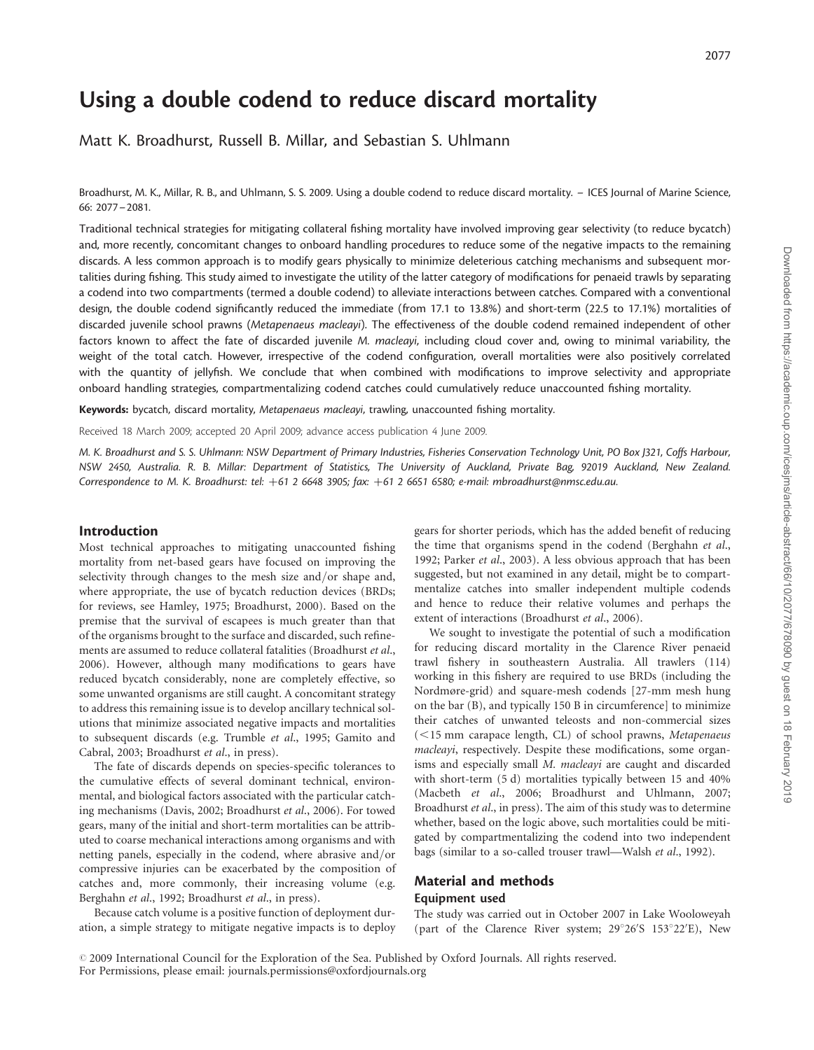# Using a double codend to reduce discard mortality

Matt K. Broadhurst, Russell B. Millar, and Sebastian S. Uhlmann

Broadhurst, M. K., Millar, R. B., and Uhlmann, S. S. 2009. Using a double codend to reduce discard mortality. – ICES Journal of Marine Science, 66: 2077–2081.

Traditional technical strategies for mitigating collateral fishing mortality have involved improving gear selectivity (to reduce bycatch) and, more recently, concomitant changes to onboard handling procedures to reduce some of the negative impacts to the remaining discards. A less common approach is to modify gears physically to minimize deleterious catching mechanisms and subsequent mortalities during fishing. This study aimed to investigate the utility of the latter category of modifications for penaeid trawls by separating a codend into two compartments (termed a double codend) to alleviate interactions between catches. Compared with a conventional design, the double codend significantly reduced the immediate (from 17.1 to 13.8%) and short-term (22.5 to 17.1%) mortalities of discarded juvenile school prawns (Metapenaeus macleayi). The effectiveness of the double codend remained independent of other factors known to affect the fate of discarded juvenile M. macleayi, including cloud cover and, owing to minimal variability, the weight of the total catch. However, irrespective of the codend configuration, overall mortalities were also positively correlated with the quantity of jellyfish. We conclude that when combined with modifications to improve selectivity and appropriate onboard handling strategies, compartmentalizing codend catches could cumulatively reduce unaccounted fishing mortality.

Keywords: bycatch, discard mortality, Metapenaeus macleayi, trawling, unaccounted fishing mortality.

Received 18 March 2009; accepted 20 April 2009; advance access publication 4 June 2009.

M. K. Broadhurst and S. S. Uhlmann: NSW Department of Primary Industries, Fisheries Conservation Technology Unit, PO Box J321, Coffs Harbour, NSW 2450, Australia. R. B. Millar: Department of Statistics, The University of Auckland, Private Bag, 92019 Auckland, New Zealand. Correspondence to M. K. Broadhurst: tel: +61 2 6648 3905; fax: +61 2 6651 6580; e-mail: mbroadhurst@nmsc.edu.au.

## Introduction

Most technical approaches to mitigating unaccounted fishing mortality from net-based gears have focused on improving the selectivity through changes to the mesh size and/or shape and, where appropriate, the use of bycatch reduction devices (BRDs; for reviews, see Hamley, 1975; Broadhurst, 2000). Based on the premise that the survival of escapees is much greater than that of the organisms brought to the surface and discarded, such refinements are assumed to reduce collateral fatalities (Broadhurst et al., 2006). However, although many modifications to gears have reduced bycatch considerably, none are completely effective, so some unwanted organisms are still caught. A concomitant strategy to address this remaining issue is to develop ancillary technical solutions that minimize associated negative impacts and mortalities to subsequent discards (e.g. Trumble et al., 1995; Gamito and Cabral, 2003; Broadhurst et al., in press).

The fate of discards depends on species-specific tolerances to the cumulative effects of several dominant technical, environmental, and biological factors associated with the particular catching mechanisms (Davis, 2002; Broadhurst et al., 2006). For towed gears, many of the initial and short-term mortalities can be attributed to coarse mechanical interactions among organisms and with netting panels, especially in the codend, where abrasive and/or compressive injuries can be exacerbated by the composition of catches and, more commonly, their increasing volume (e.g. Berghahn et al., 1992; Broadhurst et al., in press).

Because catch volume is a positive function of deployment duration, a simple strategy to mitigate negative impacts is to deploy gears for shorter periods, which has the added benefit of reducing the time that organisms spend in the codend (Berghahn et al., 1992; Parker et al., 2003). A less obvious approach that has been suggested, but not examined in any detail, might be to compartmentalize catches into smaller independent multiple codends and hence to reduce their relative volumes and perhaps the extent of interactions (Broadhurst et al., 2006).

We sought to investigate the potential of such a modification for reducing discard mortality in the Clarence River penaeid trawl fishery in southeastern Australia. All trawlers (114) working in this fishery are required to use BRDs (including the Nordmøre-grid) and square-mesh codends [27-mm mesh hung on the bar (B), and typically 150 B in circumference] to minimize their catches of unwanted teleosts and non-commercial sizes  $(<15$  mm carapace length, CL) of school prawns, Metapenaeus macleayi, respectively. Despite these modifications, some organisms and especially small M. macleayi are caught and discarded with short-term (5 d) mortalities typically between 15 and 40% (Macbeth et al., 2006; Broadhurst and Uhlmann, 2007; Broadhurst et al., in press). The aim of this study was to determine whether, based on the logic above, such mortalities could be mitigated by compartmentalizing the codend into two independent bags (similar to a so-called trouser trawl—Walsh et al., 1992).

# Material and methods Equipment used

The study was carried out in October 2007 in Lake Wooloweyah (part of the Clarence River system; 29°26'S 153°22'E), New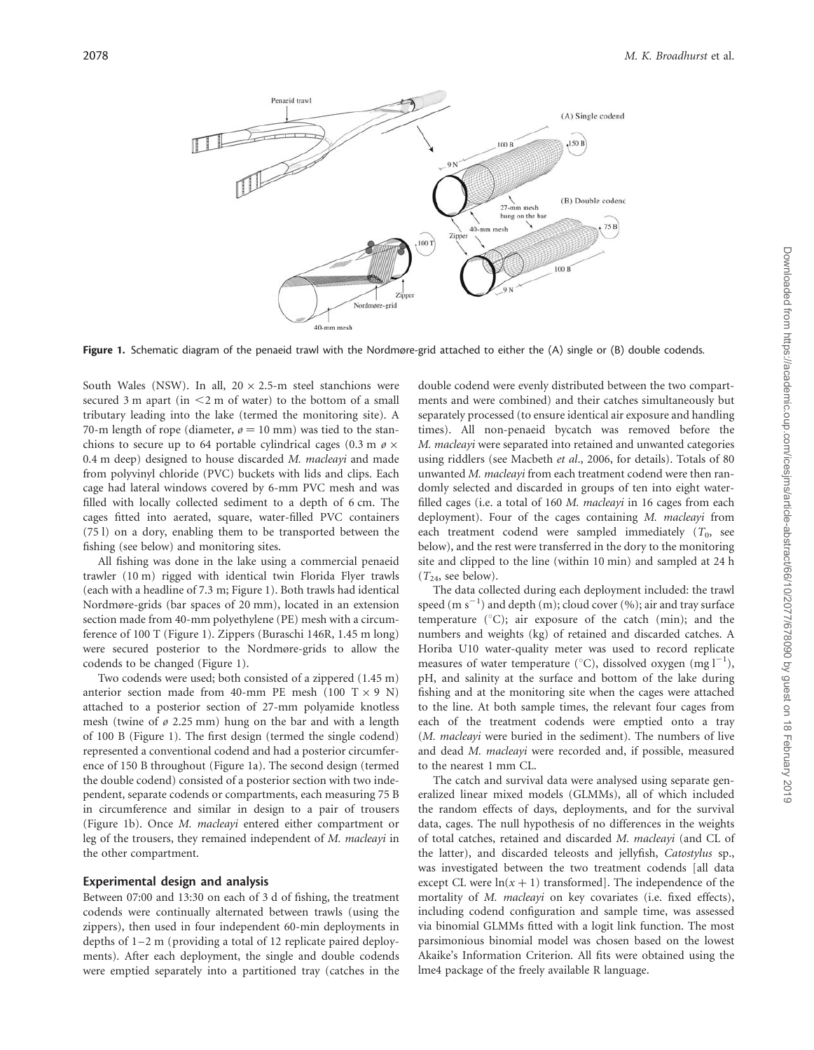

Figure 1. Schematic diagram of the penaeid trawl with the Nordmøre-grid attached to either the (A) single or (B) double codends.

South Wales (NSW). In all,  $20 \times 2.5$ -m steel stanchions were secured 3 m apart (in  $\leq$ 2 m of water) to the bottom of a small tributary leading into the lake (termed the monitoring site). A 70-m length of rope (diameter,  $\varphi = 10$  mm) was tied to the stanchions to secure up to 64 portable cylindrical cages (0.3 m  $\varnothing \times$ 0.4 m deep) designed to house discarded M. macleayi and made from polyvinyl chloride (PVC) buckets with lids and clips. Each cage had lateral windows covered by 6-mm PVC mesh and was filled with locally collected sediment to a depth of 6 cm. The cages fitted into aerated, square, water-filled PVC containers (75 l) on a dory, enabling them to be transported between the fishing (see below) and monitoring sites.

All fishing was done in the lake using a commercial penaeid trawler (10 m) rigged with identical twin Florida Flyer trawls (each with a headline of 7.3 m; Figure 1). Both trawls had identical Nordmøre-grids (bar spaces of 20 mm), located in an extension section made from 40-mm polyethylene (PE) mesh with a circumference of 100 T (Figure 1). Zippers (Buraschi 146R, 1.45 m long) were secured posterior to the Nordmøre-grids to allow the codends to be changed (Figure 1).

Two codends were used; both consisted of a zippered (1.45 m) anterior section made from 40-mm PE mesh  $(100 \text{ T} \times 9 \text{ N})$ attached to a posterior section of 27-mm polyamide knotless mesh (twine of  $\varphi$  2.25 mm) hung on the bar and with a length of 100 B (Figure 1). The first design (termed the single codend) represented a conventional codend and had a posterior circumference of 150 B throughout (Figure 1a). The second design (termed the double codend) consisted of a posterior section with two independent, separate codends or compartments, each measuring 75 B in circumference and similar in design to a pair of trousers (Figure 1b). Once M. macleayi entered either compartment or leg of the trousers, they remained independent of M. macleayi in the other compartment.

#### Experimental design and analysis

Between 07:00 and 13:30 on each of 3 d of fishing, the treatment codends were continually alternated between trawls (using the zippers), then used in four independent 60-min deployments in depths of  $1-2$  m (providing a total of 12 replicate paired deployments). After each deployment, the single and double codends were emptied separately into a partitioned tray (catches in the

double codend were evenly distributed between the two compartments and were combined) and their catches simultaneously but separately processed (to ensure identical air exposure and handling times). All non-penaeid bycatch was removed before the M. macleayi were separated into retained and unwanted categories using riddlers (see Macbeth et al., 2006, for details). Totals of 80 unwanted M. macleayi from each treatment codend were then randomly selected and discarded in groups of ten into eight waterfilled cages (i.e. a total of 160 M. *macleavi* in 16 cages from each deployment). Four of the cages containing M. macleayi from each treatment codend were sampled immediately  $(T_0, \text{ see}$ below), and the rest were transferred in the dory to the monitoring site and clipped to the line (within 10 min) and sampled at 24 h  $(T_{24}$ , see below).

The data collected during each deployment included: the trawl speed (m  $s^{-1}$ ) and depth (m); cloud cover (%); air and tray surface temperature  $(^{\circ}C)$ ; air exposure of the catch (min); and the numbers and weights (kg) of retained and discarded catches. A Horiba U10 water-quality meter was used to record replicate measures of water temperature (°C), dissolved oxygen  $(mg l^{-1})$ , pH, and salinity at the surface and bottom of the lake during fishing and at the monitoring site when the cages were attached to the line. At both sample times, the relevant four cages from each of the treatment codends were emptied onto a tray (M. macleayi were buried in the sediment). The numbers of live and dead M. macleayi were recorded and, if possible, measured to the nearest 1 mm CL.

The catch and survival data were analysed using separate generalized linear mixed models (GLMMs), all of which included the random effects of days, deployments, and for the survival data, cages. The null hypothesis of no differences in the weights of total catches, retained and discarded M. macleayi (and CL of the latter), and discarded teleosts and jellyfish, Catostylus sp., was investigated between the two treatment codends [all data except CL were  $ln(x + 1)$  transformed]. The independence of the mortality of M. macleayi on key covariates (i.e. fixed effects), including codend configuration and sample time, was assessed via binomial GLMMs fitted with a logit link function. The most parsimonious binomial model was chosen based on the lowest Akaike's Information Criterion. All fits were obtained using the lme4 package of the freely available R language.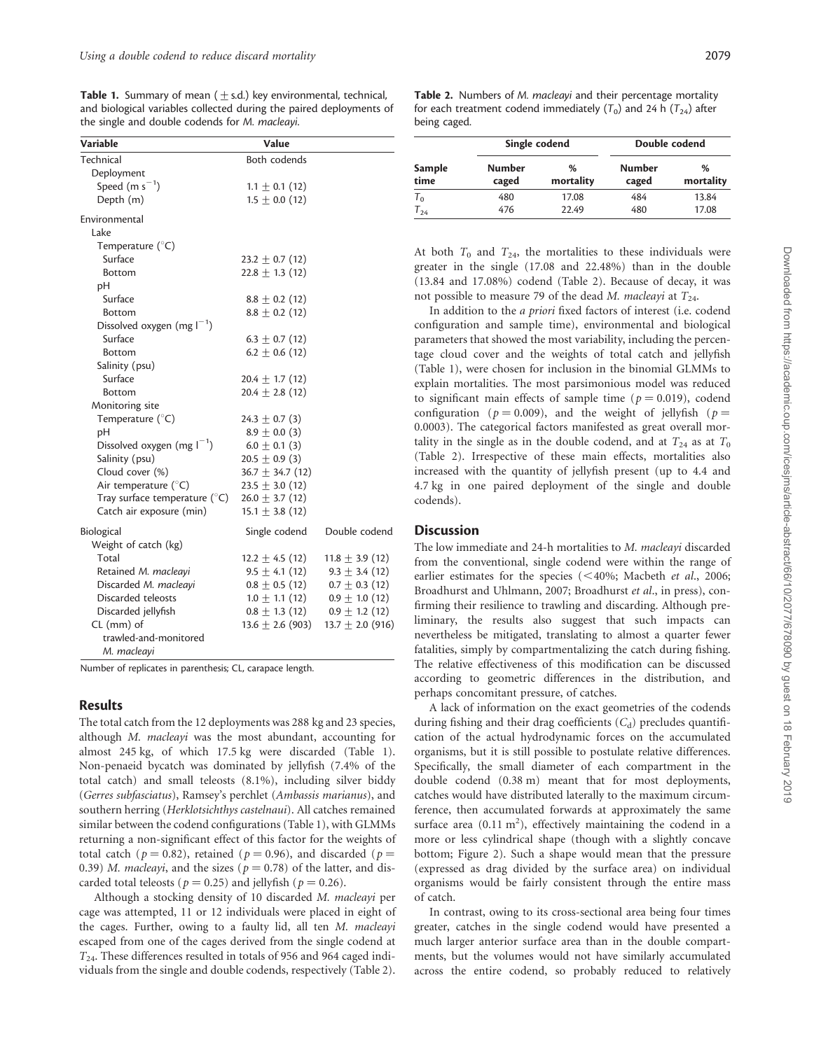**Table 1.** Summary of mean ( $\pm$  s.d.) key environmental, technical, and biological variables collected during the paired deployments of the single and double codends for M. macleayi.

| <b>Variable</b>                       | Value                |                      |  |
|---------------------------------------|----------------------|----------------------|--|
| Technical                             | Both codends         |                      |  |
| Deployment                            |                      |                      |  |
| Speed (m $s^{-1}$ )                   | $1.1 \pm 0.1$ (12)   |                      |  |
| Depth (m)                             | $1.5 \pm 0.0$ (12)   |                      |  |
| Environmental                         |                      |                      |  |
| Lake                                  |                      |                      |  |
| Temperature $(^{\circ}C)$             |                      |                      |  |
| Surface                               | 23.2 $\pm$ 0.7 (12)  |                      |  |
| Bottom                                | $22.8 \pm 1.3$ (12)  |                      |  |
| pH                                    |                      |                      |  |
| Surface                               | $8.8 \pm 0.2$ (12)   |                      |  |
| Bottom                                | $8.8 \pm 0.2$ (12)   |                      |  |
| Dissolved oxygen (mg $I^{-1}$ )       |                      |                      |  |
| Surface                               | $6.3 \pm 0.7$ (12)   |                      |  |
| Bottom                                | $6.2 \pm 0.6$ (12)   |                      |  |
| Salinity (psu)                        |                      |                      |  |
| Surface                               | $20.4 \pm 1.7(12)$   |                      |  |
| Bottom                                | $20.4 \pm 2.8$ (12)  |                      |  |
| Monitoring site                       |                      |                      |  |
| Temperature $(^{\circ}C)$             | $24.3 \pm 0.7$ (3)   |                      |  |
| pH                                    | $8.9 \pm 0.0$ (3)    |                      |  |
| Dissolved oxygen (mg $I^{-1}$ )       | $6.0 \pm 0.1$ (3)    |                      |  |
| Salinity (psu)                        | $20.5 \pm 0.9$ (3)   |                      |  |
| Cloud cover (%)                       | $36.7 \pm 34.7$ (12) |                      |  |
| Air temperature (°C)                  | $23.5 \pm 3.0$ (12)  |                      |  |
| Tray surface temperature $(^\circ C)$ | $26.0 \pm 3.7(12)$   |                      |  |
| Catch air exposure (min)              | $15.1 \pm 3.8$ (12)  |                      |  |
| Biological                            | Single codend        | Double codend        |  |
| Weight of catch (kg)                  |                      |                      |  |
| Total                                 | $12.2 \pm 4.5$ (12)  | $11.8 \pm 3.9$ (12)  |  |
| Retained M. macleayi                  | $9.5 \pm 4.1(12)$    | $9.3 \pm 3.4$ (12)   |  |
| Discarded M. macleavi                 | $0.8 \pm 0.5$ (12)   | $0.7 \pm 0.3$ (12)   |  |
| Discarded teleosts                    | $1.0 \pm 1.1$ (12)   | $0.9 \pm 1.0$ (12)   |  |
| Discarded jellyfish                   | $0.8 \pm 1.3(12)$    | $0.9 \pm 1.2$ (12)   |  |
| CL (mm) of                            | $13.6 \pm 2.6$ (903) | $13.7 \pm 2.0$ (916) |  |
| trawled-and-monitored                 |                      |                      |  |
| M. macleavi                           |                      |                      |  |

Number of replicates in parenthesis; CL, carapace length.

#### Results

The total catch from the 12 deployments was 288 kg and 23 species, although M. macleayi was the most abundant, accounting for almost 245 kg, of which 17.5 kg were discarded (Table 1). Non-penaeid bycatch was dominated by jellyfish (7.4% of the total catch) and small teleosts (8.1%), including silver biddy (Gerres subfasciatus), Ramsey's perchlet (Ambassis marianus), and southern herring (Herklotsichthys castelnaui). All catches remained similar between the codend configurations (Table 1), with GLMMs returning a non-significant effect of this factor for the weights of total catch ( $p = 0.82$ ), retained ( $p = 0.96$ ), and discarded ( $p =$ 0.39) M. macleayi, and the sizes ( $p = 0.78$ ) of the latter, and discarded total teleosts ( $p = 0.25$ ) and jellyfish ( $p = 0.26$ ).

Although a stocking density of 10 discarded M. macleayi per cage was attempted, 11 or 12 individuals were placed in eight of the cages. Further, owing to a faulty lid, all ten M. macleayi escaped from one of the cages derived from the single codend at  $T_{24}$ . These differences resulted in totals of 956 and 964 caged individuals from the single and double codends, respectively (Table 2). Table 2. Numbers of M. macleavi and their percentage mortality for each treatment codend immediately  $(T_0)$  and 24 h  $(T_{24})$  after being caged.

|                           | Single codend   |                | Double codend   |                |
|---------------------------|-----------------|----------------|-----------------|----------------|
| Sample<br>time            | Number<br>caged | %<br>mortality | Number<br>caged | %<br>mortality |
| $\mathsf{T}_{\mathsf{O}}$ | 480             | 17.08          | 484             | 13.84          |
| 74 ا                      | 476             | 22.49          | 480             | 17.08          |

At both  $T_0$  and  $T_{24}$ , the mortalities to these individuals were greater in the single (17.08 and 22.48%) than in the double (13.84 and 17.08%) codend (Table 2). Because of decay, it was not possible to measure 79 of the dead M. macleayi at  $T_{24}$ .

In addition to the a priori fixed factors of interest (i.e. codend configuration and sample time), environmental and biological parameters that showed the most variability, including the percentage cloud cover and the weights of total catch and jellyfish (Table 1), were chosen for inclusion in the binomial GLMMs to explain mortalities. The most parsimonious model was reduced to significant main effects of sample time ( $p = 0.019$ ), codend configuration ( $p = 0.009$ ), and the weight of jellyfish ( $p =$ 0.0003). The categorical factors manifested as great overall mortality in the single as in the double codend, and at  $T_{24}$  as at  $T_0$ (Table 2). Irrespective of these main effects, mortalities also increased with the quantity of jellyfish present (up to 4.4 and 4.7 kg in one paired deployment of the single and double codends).

## **Discussion**

The low immediate and 24-h mortalities to M. macleayi discarded from the conventional, single codend were within the range of earlier estimates for the species  $( $40\%$ ; Macbeth et al., 2006;$ Broadhurst and Uhlmann, 2007; Broadhurst et al., in press), confirming their resilience to trawling and discarding. Although preliminary, the results also suggest that such impacts can nevertheless be mitigated, translating to almost a quarter fewer fatalities, simply by compartmentalizing the catch during fishing. The relative effectiveness of this modification can be discussed according to geometric differences in the distribution, and perhaps concomitant pressure, of catches.

A lack of information on the exact geometries of the codends during fishing and their drag coefficients  $(C_d)$  precludes quantification of the actual hydrodynamic forces on the accumulated organisms, but it is still possible to postulate relative differences. Specifically, the small diameter of each compartment in the double codend (0.38 m) meant that for most deployments, catches would have distributed laterally to the maximum circumference, then accumulated forwards at approximately the same surface area  $(0.11 \text{ m}^2)$ , effectively maintaining the codend in a more or less cylindrical shape (though with a slightly concave bottom; Figure 2). Such a shape would mean that the pressure (expressed as drag divided by the surface area) on individual organisms would be fairly consistent through the entire mass of catch.

In contrast, owing to its cross-sectional area being four times greater, catches in the single codend would have presented a much larger anterior surface area than in the double compartments, but the volumes would not have similarly accumulated across the entire codend, so probably reduced to relatively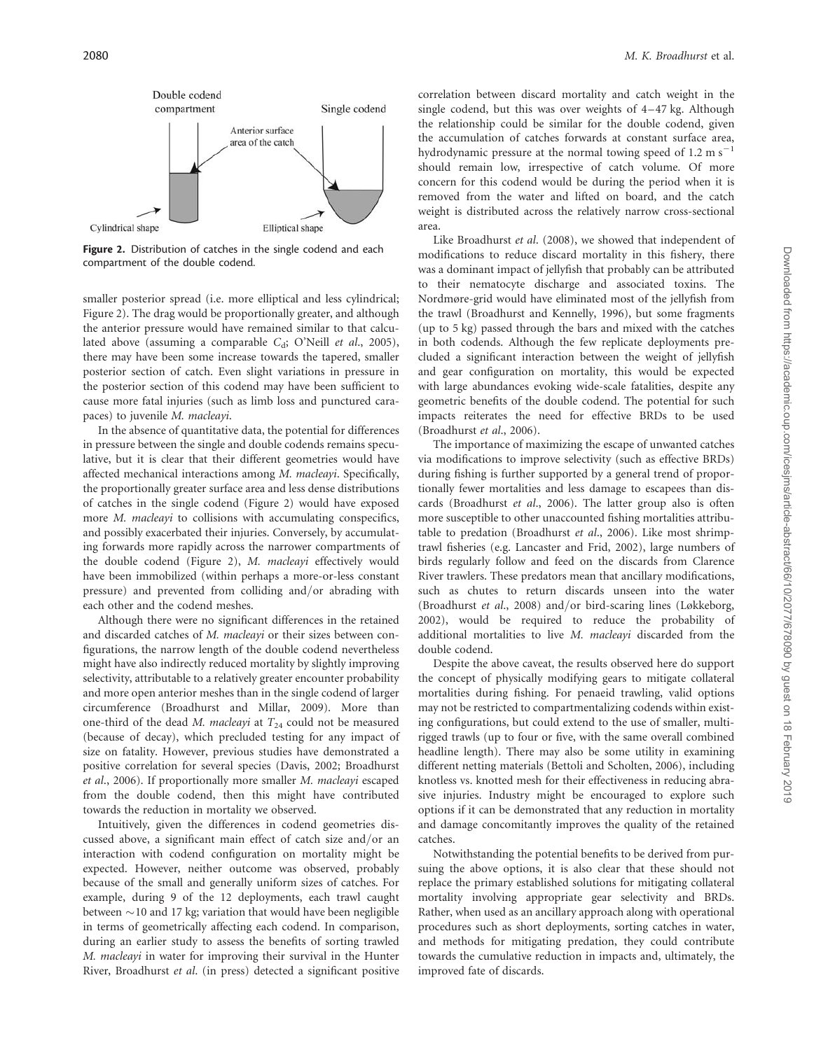

Figure 2. Distribution of catches in the single codend and each compartment of the double codend.

smaller posterior spread (i.e. more elliptical and less cylindrical; Figure 2). The drag would be proportionally greater, and although the anterior pressure would have remained similar to that calculated above (assuming a comparable  $C_d$ ; O'Neill et al., 2005), there may have been some increase towards the tapered, smaller posterior section of catch. Even slight variations in pressure in the posterior section of this codend may have been sufficient to cause more fatal injuries (such as limb loss and punctured carapaces) to juvenile M. macleayi.

In the absence of quantitative data, the potential for differences in pressure between the single and double codends remains speculative, but it is clear that their different geometries would have affected mechanical interactions among M. macleayi. Specifically, the proportionally greater surface area and less dense distributions of catches in the single codend (Figure 2) would have exposed more *M. macleayi* to collisions with accumulating conspecifics, and possibly exacerbated their injuries. Conversely, by accumulating forwards more rapidly across the narrower compartments of the double codend (Figure 2), M. macleayi effectively would have been immobilized (within perhaps a more-or-less constant pressure) and prevented from colliding and/or abrading with each other and the codend meshes.

Although there were no significant differences in the retained and discarded catches of M. macleayi or their sizes between configurations, the narrow length of the double codend nevertheless might have also indirectly reduced mortality by slightly improving selectivity, attributable to a relatively greater encounter probability and more open anterior meshes than in the single codend of larger circumference (Broadhurst and Millar, 2009). More than one-third of the dead M. macleayi at  $T_{24}$  could not be measured (because of decay), which precluded testing for any impact of size on fatality. However, previous studies have demonstrated a positive correlation for several species (Davis, 2002; Broadhurst et al., 2006). If proportionally more smaller M. macleayi escaped from the double codend, then this might have contributed towards the reduction in mortality we observed.

Intuitively, given the differences in codend geometries discussed above, a significant main effect of catch size and/or an interaction with codend configuration on mortality might be expected. However, neither outcome was observed, probably because of the small and generally uniform sizes of catches. For example, during 9 of the 12 deployments, each trawl caught between  $\sim$ 10 and 17 kg; variation that would have been negligible in terms of geometrically affecting each codend. In comparison, during an earlier study to assess the benefits of sorting trawled M. macleayi in water for improving their survival in the Hunter River, Broadhurst et al. (in press) detected a significant positive correlation between discard mortality and catch weight in the single codend, but this was over weights of  $4-47$  kg. Although the relationship could be similar for the double codend, given the accumulation of catches forwards at constant surface area, hydrodynamic pressure at the normal towing speed of  $1.2 \text{ m s}^{-1}$ should remain low, irrespective of catch volume. Of more concern for this codend would be during the period when it is removed from the water and lifted on board, and the catch weight is distributed across the relatively narrow cross-sectional area.

Like Broadhurst et al. (2008), we showed that independent of modifications to reduce discard mortality in this fishery, there was a dominant impact of jellyfish that probably can be attributed to their nematocyte discharge and associated toxins. The Nordmøre-grid would have eliminated most of the jellyfish from the trawl (Broadhurst and Kennelly, 1996), but some fragments (up to 5 kg) passed through the bars and mixed with the catches in both codends. Although the few replicate deployments precluded a significant interaction between the weight of jellyfish and gear configuration on mortality, this would be expected with large abundances evoking wide-scale fatalities, despite any geometric benefits of the double codend. The potential for such impacts reiterates the need for effective BRDs to be used (Broadhurst et al., 2006).

The importance of maximizing the escape of unwanted catches via modifications to improve selectivity (such as effective BRDs) during fishing is further supported by a general trend of proportionally fewer mortalities and less damage to escapees than discards (Broadhurst et al., 2006). The latter group also is often more susceptible to other unaccounted fishing mortalities attributable to predation (Broadhurst et al., 2006). Like most shrimptrawl fisheries (e.g. Lancaster and Frid, 2002), large numbers of birds regularly follow and feed on the discards from Clarence River trawlers. These predators mean that ancillary modifications, such as chutes to return discards unseen into the water (Broadhurst et al., 2008) and/or bird-scaring lines (Løkkeborg, 2002), would be required to reduce the probability of additional mortalities to live M. macleayi discarded from the double codend.

Despite the above caveat, the results observed here do support the concept of physically modifying gears to mitigate collateral mortalities during fishing. For penaeid trawling, valid options may not be restricted to compartmentalizing codends within existing configurations, but could extend to the use of smaller, multirigged trawls (up to four or five, with the same overall combined headline length). There may also be some utility in examining different netting materials (Bettoli and Scholten, 2006), including knotless vs. knotted mesh for their effectiveness in reducing abrasive injuries. Industry might be encouraged to explore such options if it can be demonstrated that any reduction in mortality and damage concomitantly improves the quality of the retained catches.

Notwithstanding the potential benefits to be derived from pursuing the above options, it is also clear that these should not replace the primary established solutions for mitigating collateral mortality involving appropriate gear selectivity and BRDs. Rather, when used as an ancillary approach along with operational procedures such as short deployments, sorting catches in water, and methods for mitigating predation, they could contribute towards the cumulative reduction in impacts and, ultimately, the improved fate of discards.